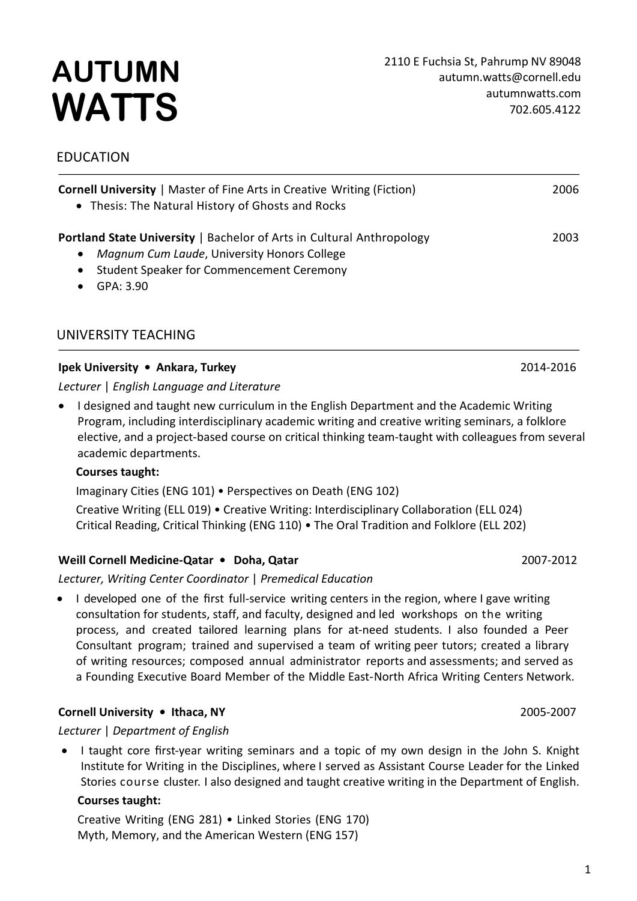# **AUTUMN WATTS**

# EDUCATION

| <b>Cornell University</b>   Master of Fine Arts in Creative Writing (Fiction)<br>• Thesis: The Natural History of Ghosts and Rocks | 2006 |
|------------------------------------------------------------------------------------------------------------------------------------|------|
| <b>Portland State University   Bachelor of Arts in Cultural Anthropology</b>                                                       | 2003 |
| Magnum Cum Laude, University Honors College<br>$\bullet$                                                                           |      |
| • Student Speaker for Commencement Ceremony                                                                                        |      |
| GPA: 3.90                                                                                                                          |      |

# UNIVERSITY TEACHING

#### **Ipek University • Ankara, Turkey** 2014-2016

*Lecturer* | *English Language and Literature*

• I designed and taught new curriculum in the English Department and the Academic Writing Program, including interdisciplinary academic writing and creative writing seminars, a folklore elective, and a project-based course on critical thinking team-taught with colleagues from several academic departments.

#### **Courses taught:**

Imaginary Cities (ENG 101) • Perspectives on Death (ENG 102) Creative Writing (ELL 019) • Creative Writing: Interdisciplinary Collaboration (ELL 024) Critical Reading, Critical Thinking (ENG 110) • The Oral Tradition and Folklore (ELL 202)

#### **Weill Cornell Medicine-Qatar • Doha, Qatar** 2007-2012

*Lecturer, Writing Center Coordinator* | *Premedical Education*

I developed one of the first full-service writing centers in the region, where I gave writing consultation for students, staff, and faculty, designed and led workshops on the writing process, and created tailored learning plans for at-need students. I also founded a Peer Consultant program; trained and supervised a team of writing peer tutors; created a library of writing resources; composed annual administrator reports and assessments; and served as a Founding Executive Board Member of the Middle East-North Africa Writing Centers Network.

## **Cornell University • Ithaca, NY** 2005-2007

#### *Lecturer* | *Department of English*

• I taught core first-year writing seminars and a topic of my own design in the John S. Knight Institute for Writing in the Disciplines, where I served as Assistant Course Leader for the Linked Stories course cluster. I also designed and taught creative writing in the Department of English.

#### **Courses taught:**

Creative Writing (ENG 281) • Linked Stories (ENG 170) Myth, Memory, and the American Western (ENG 157)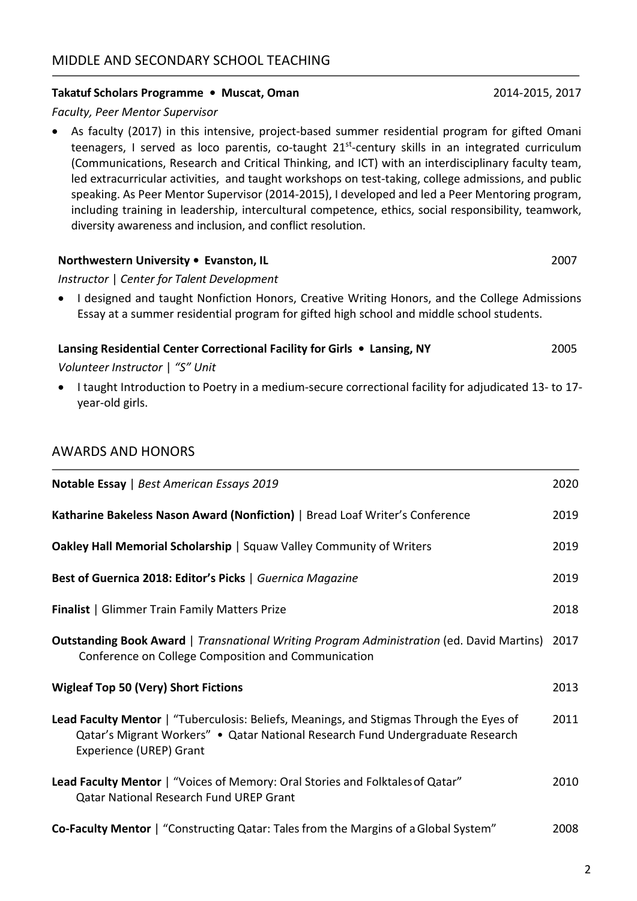#### **Takatuf Scholars Programme • Muscat, Oman** 2014-2015, 2017

#### *Faculty, Peer Mentor Supervisor*

• As faculty (2017) in this intensive, project-based summer residential program for gifted Omani teenagers, I served as loco parentis, co-taught  $21^{st}$ -century skills in an integrated curriculum (Communications, Research and Critical Thinking, and ICT) with an interdisciplinary faculty team, led extracurricular activities, and taught workshops on test-taking, college admissions, and public speaking. As Peer Mentor Supervisor (2014-2015), I developed and led a Peer Mentoring program, including training in leadership, intercultural competence, ethics, social responsibility, teamwork, diversity awareness and inclusion, and conflict resolution.

#### **Northwestern University • Evanston, IL** 2007

*Instructor* | *Center for Talent Development* 

• I designed and taught Nonfiction Honors, Creative Writing Honors, and the College Admissions Essay at a summer residential program for gifted high school and middle school students.

| Lansing Residential Center Correctional Facility for Girls • Lansing, NY | 2005 |
|--------------------------------------------------------------------------|------|
| Volunteer Instructor   "S" Unit                                          |      |

• I taught Introduction to Poetry in a medium-secure correctional facility for adjudicated 13- to 17 year-old girls.

# AWARDS AND HONORS

| Notable Essay   Best American Essays 2019                                                                                                                                                            | 2020 |
|------------------------------------------------------------------------------------------------------------------------------------------------------------------------------------------------------|------|
| Katharine Bakeless Nason Award (Nonfiction)   Bread Loaf Writer's Conference                                                                                                                         | 2019 |
| Oakley Hall Memorial Scholarship   Squaw Valley Community of Writers                                                                                                                                 | 2019 |
| Best of Guernica 2018: Editor's Picks   Guernica Magazine                                                                                                                                            | 2019 |
| <b>Finalist</b>   Glimmer Train Family Matters Prize                                                                                                                                                 | 2018 |
| <b>Outstanding Book Award</b>   Transnational Writing Program Administration (ed. David Martins)<br>Conference on College Composition and Communication                                              | 2017 |
| <b>Wigleaf Top 50 (Very) Short Fictions</b>                                                                                                                                                          | 2013 |
| Lead Faculty Mentor   "Tuberculosis: Beliefs, Meanings, and Stigmas Through the Eyes of<br>Qatar's Migrant Workers" • Qatar National Research Fund Undergraduate Research<br>Experience (UREP) Grant | 2011 |
| Lead Faculty Mentor   "Voices of Memory: Oral Stories and Folktales of Qatar"<br><b>Qatar National Research Fund UREP Grant</b>                                                                      | 2010 |
| <b>Co-Faculty Mentor</b>   "Constructing Qatar: Tales from the Margins of a Global System"                                                                                                           | 2008 |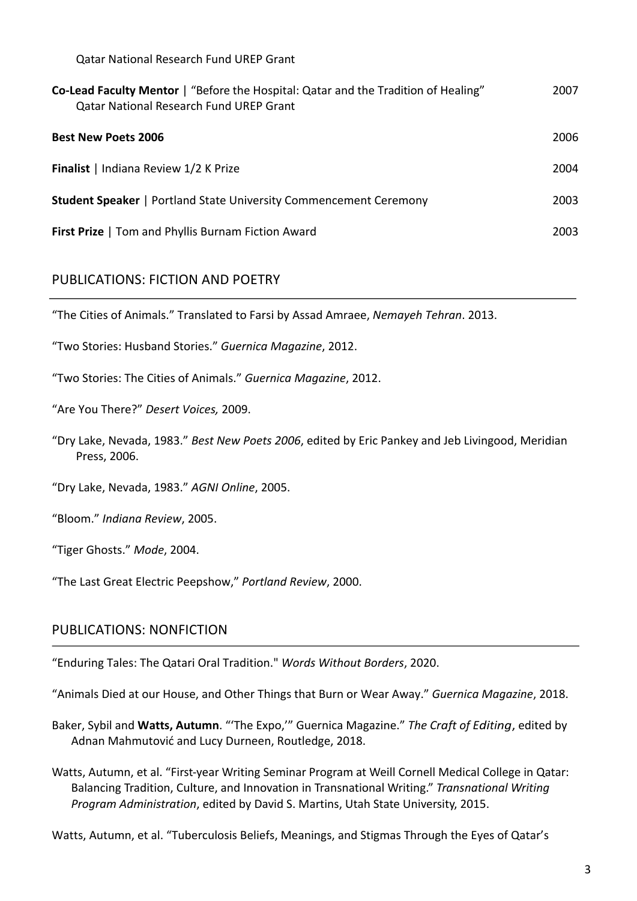Qatar National Research Fund UREP Grant

| Co-Lead Faculty Mentor   "Before the Hospital: Qatar and the Tradition of Healing"<br><b>Qatar National Research Fund UREP Grant</b> | 2007 |
|--------------------------------------------------------------------------------------------------------------------------------------|------|
| <b>Best New Poets 2006</b>                                                                                                           | 2006 |
| Finalist   Indiana Review 1/2 K Prize                                                                                                | 2004 |
| <b>Student Speaker</b>   Portland State University Commencement Ceremony                                                             | 2003 |
| <b>First Prize</b>   Tom and Phyllis Burnam Fiction Award                                                                            | 2003 |

# PUBLICATIONS: FICTION AND POETRY

"The Cities of Animals." Translated to Farsi by Assad Amraee, *Nemayeh Tehran*. 2013.

"Two Stories: Husband Stories." *Guernica Magazine*, 2012.

"Two Stories: The Cities of Animals." *Guernica Magazine*, 2012.

"Are You There?" *Desert Voices,* 2009.

"Dry Lake, Nevada, 1983." *Best New Poets 2006*, edited by Eric Pankey and Jeb Livingood, Meridian Press, 2006.

"Dry Lake, Nevada, 1983." *AGNI Online*, 2005.

"Bloom." *Indiana Review*, 2005.

"Tiger Ghosts." *Mode*, 2004.

"The Last Great Electric Peepshow," *Portland Review*, 2000.

## PUBLICATIONS: NONFICTION

"Enduring Tales: The Qatari Oral Tradition." *Words Without Borders*, 2020.

"Animals Died at our House, and Other Things that Burn or Wear Away." *Guernica Magazine*, 2018.

- Baker, Sybil and **Watts, Autumn**. "'The Expo,'" Guernica Magazine." *The Craft of Editing*, edited by Adnan Mahmutović and Lucy Durneen, Routledge, 2018.
- Watts, Autumn, et al. "First-year Writing Seminar Program at Weill Cornell Medical College in Qatar: Balancing Tradition, Culture, and Innovation in Transnational Writing." *Transnational Writing Program Administration*, edited by David S. Martins, Utah State University, 2015.

Watts, Autumn, et al. "Tuberculosis Beliefs, Meanings, and Stigmas Through the Eyes of Qatar's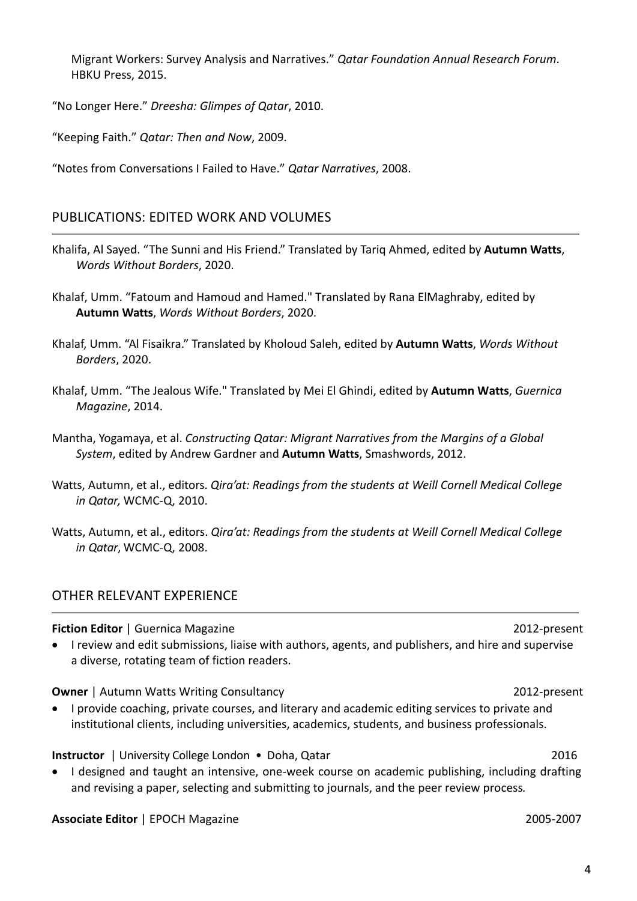Migrant Workers: Survey Analysis and Narratives." *Qatar Foundation Annual Research Forum*. HBKU Press, 2015.

"No Longer Here." *Dreesha: Glimpes of Qatar*, 2010.

"Keeping Faith." *Qatar: Then and Now*, 2009.

"Notes from Conversations I Failed to Have." *Qatar Narratives*, 2008.

# PUBLICATIONS: EDITED WORK AND VOLUMES

- Khalifa, Al Sayed. "The Sunni and His Friend." Translated by Tariq Ahmed, edited by **Autumn Watts**, *Words Without Borders*, 2020.
- Khalaf, Umm. "Fatoum and Hamoud and Hamed." Translated by Rana ElMaghraby, edited by **Autumn Watts**, *Words Without Borders*, 2020.
- Khalaf, Umm. "Al Fisaikra." Translated by Kholoud Saleh, edited by **Autumn Watts**, *Words Without Borders*, 2020.
- Khalaf, Umm. "The Jealous Wife." Translated by Mei El Ghindi, edited by **Autumn Watts**, *Guernica Magazine*, 2014.
- Mantha, Yogamaya, et al. *Constructing Qatar: Migrant Narratives from the Margins of a Global System*, edited by Andrew Gardner and **Autumn Watts**, Smashwords, 2012.
- Watts, Autumn, et al., editors. *Qira'at: Readings from the students at Weill Cornell Medical College in Qatar,* WCMC-Q, 2010.
- Watts, Autumn, et al., editors. *Qira'at: Readings from the students at Weill Cornell Medical College in Qatar*, WCMC-Q, 2008.

## OTHER RELEVANT EXPERIENCE

#### **Fiction Editor** | Guernica Magazine 2012-present

• I review and edit submissions, liaise with authors, agents, and publishers, and hire and supervise a diverse, rotating team of fiction readers.

**Owner** | Autumn Watts Writing Consultancy 2012-present

• I provide coaching, private courses, and literary and academic editing services to private and institutional clients, including universities, academics, students, and business professionals.

**Instructor** | University College London • Doha, Qatar 2016

• I designed and taught an intensive, one-week course on academic publishing, including drafting and revising a paper, selecting and submitting to journals, and the peer review process*.*